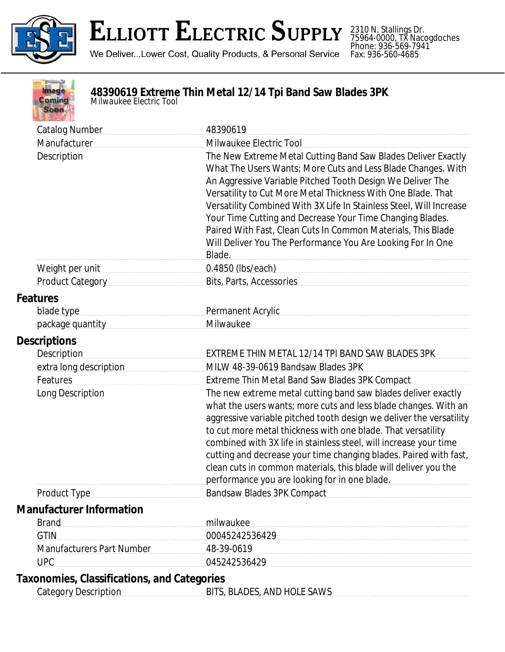

2310 N. Stallings Dr. 75964-0000, TX Nacogdoches Phone: 936-569-7941 Fax: 936-560-4685



## **48390619 Extreme Thin Metal 12/14 Tpi Band Saw Blades 3PK** *Milwaukee Electric Tool*

| <b>Catalog Number</b>                              | 48390619                                                              |
|----------------------------------------------------|-----------------------------------------------------------------------|
| Manufacturer                                       | Milwaukee Electric Tool                                               |
| Description                                        | The New Extreme Metal Cutting Band Saw Blades Deliver Exactly         |
|                                                    | What The Users Wants; More Cuts and Less Blade Changes. With          |
|                                                    | An Aggressive Variable Pitched Tooth Design We Deliver The            |
|                                                    | Versatility to Cut More Metal Thickness With One Blade. That          |
|                                                    | Versatility Combined With 3X Life In Stainless Steel, Will Increase   |
|                                                    | Your Time Cutting and Decrease Your Time Changing Blades.             |
|                                                    | Paired With Fast, Clean Cuts In Common Materials, This Blade          |
|                                                    | Will Deliver You The Performance You Are Looking For In One<br>Blade. |
|                                                    |                                                                       |
| Product Category                                   | Bits, Parts, Accessories                                              |
| <b>Features</b>                                    |                                                                       |
| blade type                                         | Permanent Acrylic                                                     |
| package quantity                                   | Milwaukee                                                             |
| <b>Descriptions</b>                                |                                                                       |
| <b>Description</b>                                 | EXTREME THIN METAL 12/14 TPI BAND SAW BLADES 3PK                      |
| extra long description                             | MILW 48-39-0619 Bandsaw Blades 3PK                                    |
| Features                                           | <b>Extreme Thin Metal Band Saw Blades 3PK Compact</b>                 |
| Long Description                                   | The new extreme metal cutting band saw blades deliver exactly         |
|                                                    | what the users wants; more cuts and less blade changes. With an       |
|                                                    | aggressive variable pitched tooth design we deliver the versatility   |
|                                                    | to cut more metal thickness with one blade. That versatility          |
|                                                    | combined with 3X life in stainless steel, will increase your time     |
|                                                    | cutting and decrease your time changing blades. Paired with fast,     |
|                                                    | clean cuts in common materials, this blade will deliver you the       |
|                                                    | performance you are looking for in one blade.                         |
| <b>Product Type</b>                                | <b>Bandsaw Blades 3PK Compact</b>                                     |
| <b>Manufacturer Information</b>                    |                                                                       |
| <b>Brand</b>                                       | milwaukee                                                             |
| <b>GTIN</b>                                        | 00045242536429                                                        |
| <b>Manufacturers Part Number</b>                   | 48-39-0619                                                            |
| <b>UPC</b>                                         | 045242536429                                                          |
| <b>Taxonomies, Classifications, and Categories</b> |                                                                       |
| <b>Category Description</b>                        | BITS, BLADES, AND HOLE SAWS                                           |